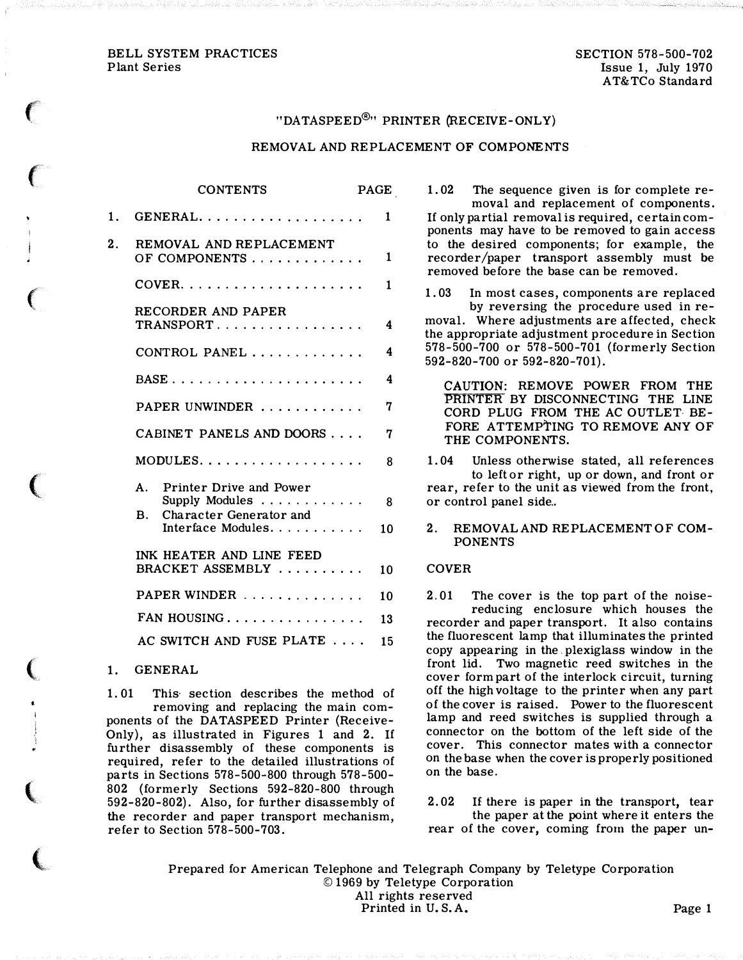# BELL SYSTEM PRACTICES Plant Series

 $\epsilon$ 

 $\big($ 

 $\big($ 

 $\big($ 

(

 $\overline{\mathbb{C}}$ 

 $\overline{\mathbf{C}}$ 

# "DATASPEED®" PRINTER (RECEIVE-ONLY)

# REMOVAL AND REPLACEMENT OF COMPONENTS

 $\overline{\phantom{a}}$ 

|    | <b>CONTENTS</b>                                                                                                                         | PAGE         |  |
|----|-----------------------------------------------------------------------------------------------------------------------------------------|--------------|--|
| 1. | GENERAL                                                                                                                                 | $\mathbf{1}$ |  |
| 2. | REMOVAL AND REPLACEMENT<br>OF COMPONENTS                                                                                                | $\mathbf{1}$ |  |
|    | $CoverR$                                                                                                                                | $\mathbf{1}$ |  |
|    | RECORDER AND PAPER<br>TRANSPORT                                                                                                         | 4            |  |
|    | CONTROL PANEL                                                                                                                           | 4            |  |
|    |                                                                                                                                         | 4            |  |
|    | PAPER UNWINDER                                                                                                                          | 7            |  |
|    | CABINET PANELS AND DOORS                                                                                                                | 7            |  |
|    |                                                                                                                                         | 8            |  |
|    | A.<br>Printer Drive and Power<br>Supply Modules $\dots \dots \dots \dots$<br>Character Generator and<br><b>B.</b><br>Interface Modules. | - 8<br>10    |  |
|    | INK HEATER AND LINE FEED<br>BRACKET ASSEMBLY                                                                                            | 10           |  |
|    | PAPER WINDER                                                                                                                            | 10           |  |
|    | FAN HOUSING                                                                                                                             | 13           |  |
|    | AC SWITCH AND FUSE PLATE                                                                                                                | 15           |  |

# 1. GENERAL

1. 01 This section describes the method of removing and replacing the main components of the DATASPEED Printer (Receive-Only), as illustrated in Figures 1 and 2. If further disassembly of these components is required, refer to the detailed illustrations of parts in Sections 578-500-800 through 578-500- 802 (formerly Sections 592-820-800 through 592-820-802). Also, for further disassembly of the recorder and paper transport mechanism, refer to Section 578-500-703.

1. 02 The sequence given is for complete removal and replacement of components. If only partial removal is required, certain components may have to be removed to gain access to the desired components; for example, the recorder/paper transport assembly must be removed before the base can be removed.

1. 03 In most cases, components are replaced by reversing the procedure used in removal. Where adjustments are affected, check the appropriate adjustment procedure in Section 578-500-700 or 578-500-701 (formerly Section 592-820-700 or 592-820-701).

CAUTION: REMOVE POWER FROM THE PRINTER BY DISCONNECTING THE LINE CORD PLUG FROM THE AC OUTLET BE-FORE ATTEMPTING TO REMOVE ANY OF THE COMPONENTS.

1. 04 Unless otherwise stated, all references to left or right, up or down, and front or rear, refer to the unit as viewed from the front, or control panel side..

# 2. REMOVAL AND REPLACEMENT OF COM-PONENTS

### COVER

2. 01 The cover is the top part of the noisereducing enclosure which houses the recorder and paper transport. It also contains the fluorescent lamp that illuminates the printed copy appearing in the . plexiglass window in the front lid. Two magnetic reed switches in the cover form part of the interlock circuit, turning off the high voltage to the printer when any part of the cover is raised. Power to the fluorescent lamp and reed switches is supplied through a connector on the bottom of the left side of the cover. This connector mates with a connector on the base when the cover is properly positioned on the base.

2. 02 If there is paper in the transport, tear the paper at the point where it enters the rear of the cover, coming from the paper un-

Prepared for American Telephone and Telegraph Company by Teletype Corporation © 1969 by Teletype Corporation All rights reserved Printed in U.S.A. Page 1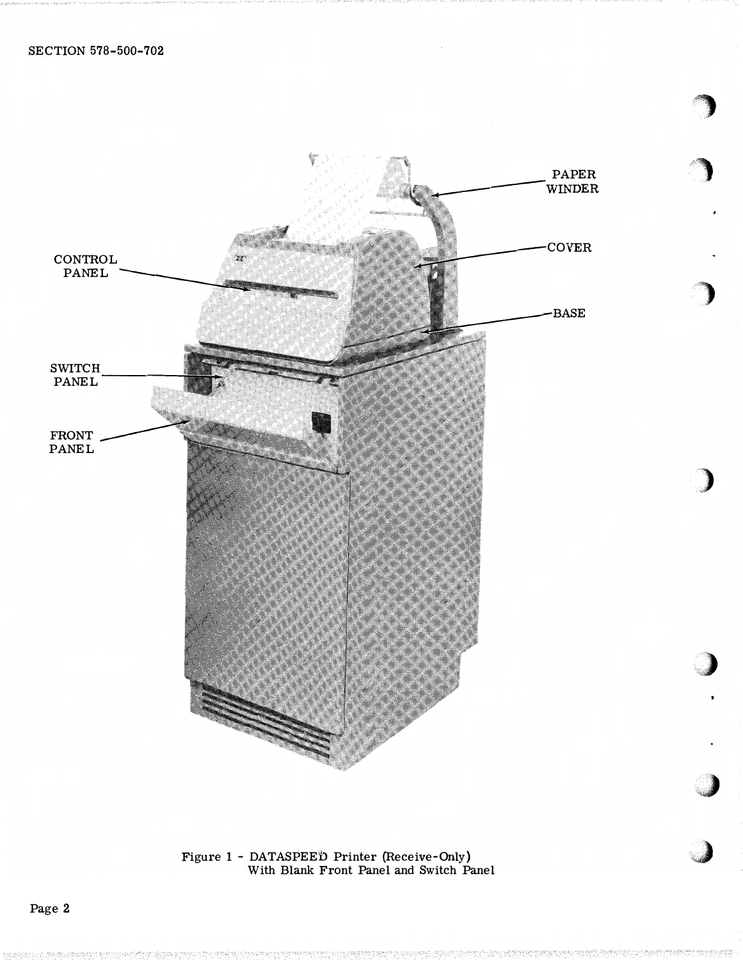

Figure 1 - DATASPEED Printer (Receive-Only)<br>With Blank Front Panel and Switch Panel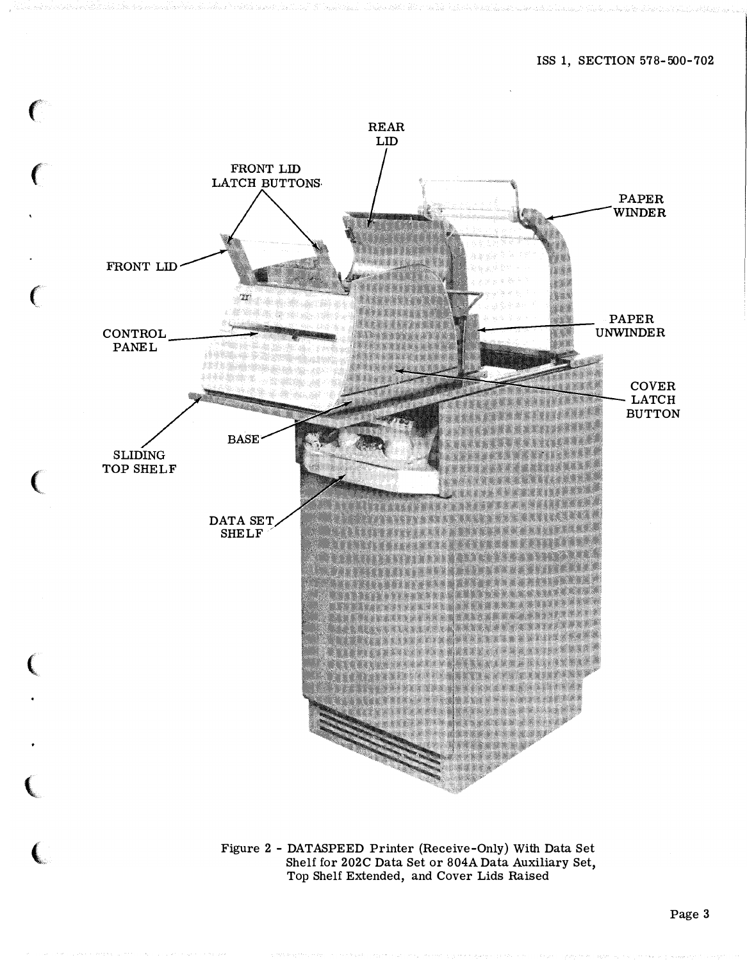

Figure 2 - DATASPEED Printer (Receive -Only) With Data Set Shelf for 202C Data Set or 804A Data Auxiliary Set, Top Shelf Extended, and Cover Lids Raised

,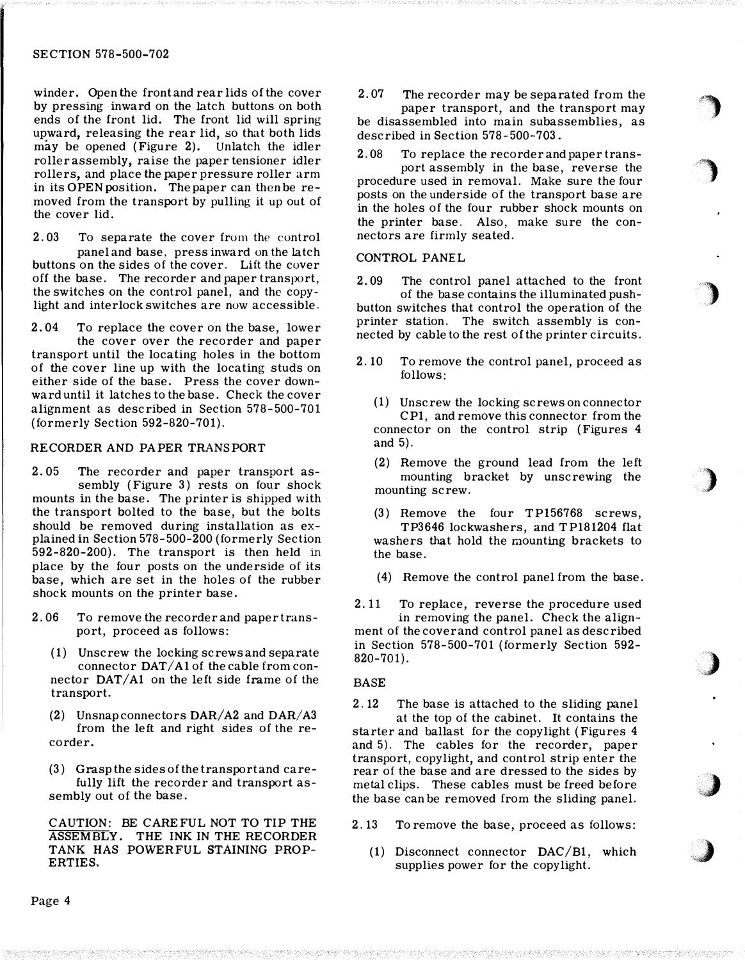winder. Open the front and rear lids of the cover by pressing inward on the latch buttons on both ends of the front lid. The front lid will spring upward, releasing the rear lid, so that both lids may be opened (Figure 2). Unlatch the idler roller assembly, raise the paper tensioner idler rollers, and place the paper pressure roller arm in its OPEN position. The paper can then be removed from the transport by pulling it up out of the cover lid.

2. 03 To separate the cover from the control panel and base, press inward on the latch buttons on the sides of the cover. Lift the cover off the base. The recorder and paper transport, the switches on the control panel, and the copylight and interlock switches are now accessible.

2. 04 To replace the cover on the base, lower the cover over the recorder and paper transport until the locating holes in the bottom of the cover line up with the locating studs on either side of the base. Press the cover downward until it latches to the base. Check the cover alignment as described in Section 578-500-701 (formerly Section 592-820-701).

### RECORDER AND PAPER TRANSPORT

2. 05 The recorder and paper transport assembly (Figure 3) rests on four shock mounts in the base. The printer is shipped with the transport bolted to the base, but the bolts should be removed during installation as explained in Section 578-500-200 (formerly Section 592-820-200). The transport is then held in place by the four posts on the underside of its base, which are set in the holes of the rubber shock mounts on the printer base.

- 2. 06 To remove the recorder and paper transport, proceed as follows:
	- (1) Unscrew the locking screws and separate connector  $DATA1$  of the cable from connector DAT/A1 on the left side frame of the transport.
	- (2) Unsnap connectors  $DAR/A2$  and  $DAR/A3$ from the left and right sides of the recorder.

(3) Grasp the sides of the transport and carefully lift the recorder and transport assembly out of the base.

CAUTION: BE CAREFUL NOT TO TIP THE ASSEMBLY. THE INK IN THE RECORDER TANK HAS POWERFUL STAINING PROP-ERTIES.

2. 07 The recorder may be separated from the paper transport, and the transport may be disassembled into main subassemblies, as described in Section 578-500-703.

 $\bigcirc$ 

, ,

 $\rightarrow$ 

)

)

�.,)

.,)

2.08 To replace the recorder and paper trans-

port assembly in the base, reverse the procedure used in removal. Make sure the four posts on the underside of the transport base are in the holes of the four rubber shock mounts on the printer base. Also, make sure the connectors are firmly seated.

# CONTROL PANEL

2. 09 The control panel attached to the front of the base contains the illuminated pushbutton switches that control the operation of the printer station. The switch assembly is connected by cable to the rest of the printer circuits.

- 2. 10 To remove the control panel, proceed as follows:
	- ( 1) Unscrew the locking screws on connector CP1, and remove this connector from the connector on the control strip (Figures 4 and 5).
	- (2) Remove the ground lead from the left mounting bracket by unscrewing the mounting screw.

(3) Remove the four TP156768 screws, TP3646 lockwashers, and TP181204 flat washers that hold the raounting brackets to the base.

(4) Remove the control panel from the base.

2.11 To replace, reverse the procedure used in removing the panel. Check the alignment of the cover and control panel as described in Section 578-500-701 (formerly Section 592- 820-701).

#### BASE

2. 12 The base is attached to the sliding panel at the top of the cabinet. It contains the starter and ballast for the copylight (Figures 4 and 5). The cables for the recorder, paper transport, copylight, and control strip enter the rear of the base and are dressed to the sides by metal clips. These cables must be freed before the base can be removed from the sliding panel.

2. 13 To remove the base, proceed as follows:

(1) Disconnect connector DAC/B1, which supplies power for the copylight.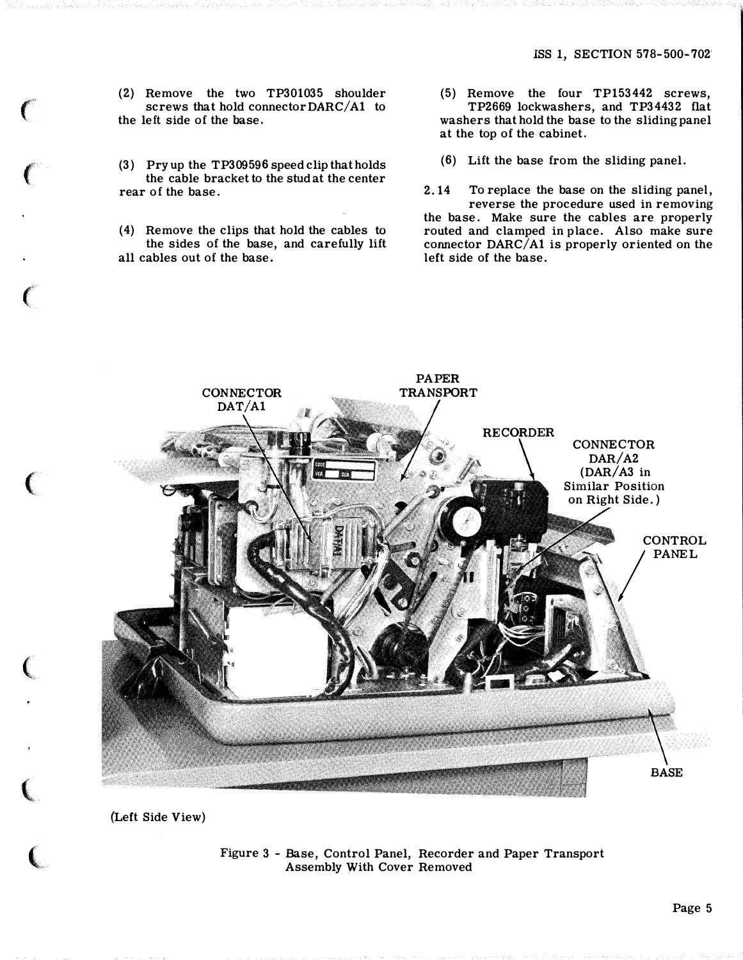(2) Remove the two TP301035 shoulder screws that hold connector  $DARC/A1$  to the left side of the base.

"

 $\left($ 

 $\big($ 

(

 $\big($ 

 $\big($ 

 $\overline{\mathbb{C}}$ 

(3) Pryup the TP309596 speed clip that holds the cable bracket to the stud at the center rear of the base.

(4) Remove the clips that hold the cables to the sides of the base, and carefully lift all cables out of the base.

- (5) Remove the four TP153442 screws, TP2669 lockwashers, and TP34432 flat washers that hold the base to the sliding panel at the top of the cabinet.
- (6) Lift the base from the sliding panel.

2.14 To replace the base on the sliding panel, reverse the procedure used in removing the base. Make sure the cables are properly routed and clamped in place. Also make sure connector  $DARC/ A1$  is properly oriented on the left side of the base.



(Left Side View)

Figure 3 - Base, Control Panel, Recorder and Paper Transport Assembly With Cover Removed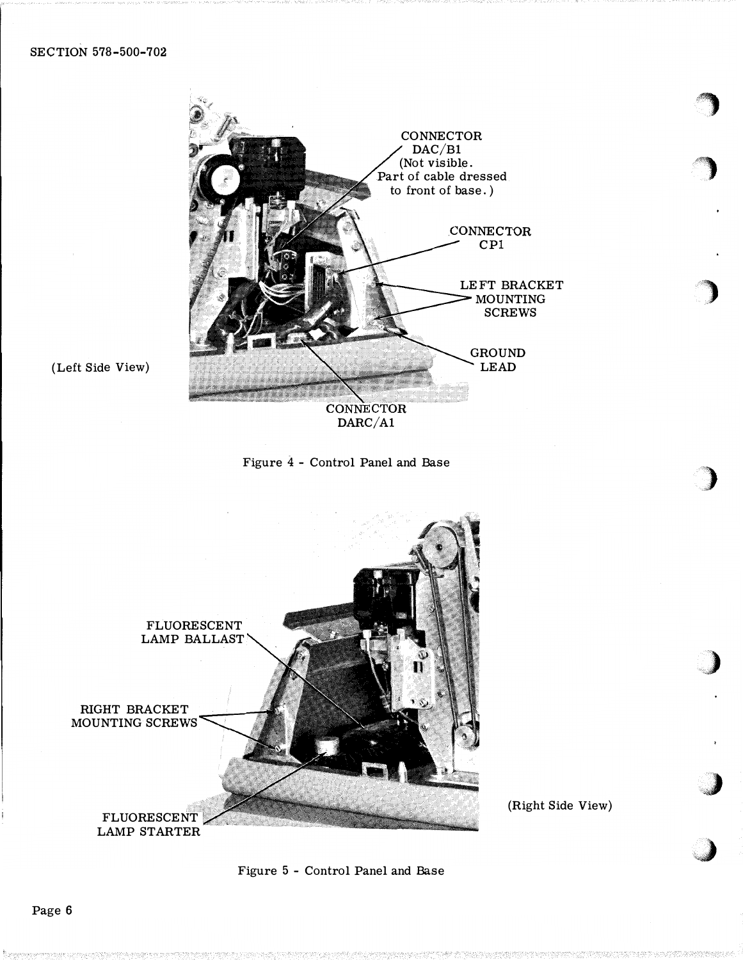



(Left Side View)



(Right Side View)

cial contracts and contracts are all the contracts of the contracts of the contracts of

Figure 5 - Control Panel and Base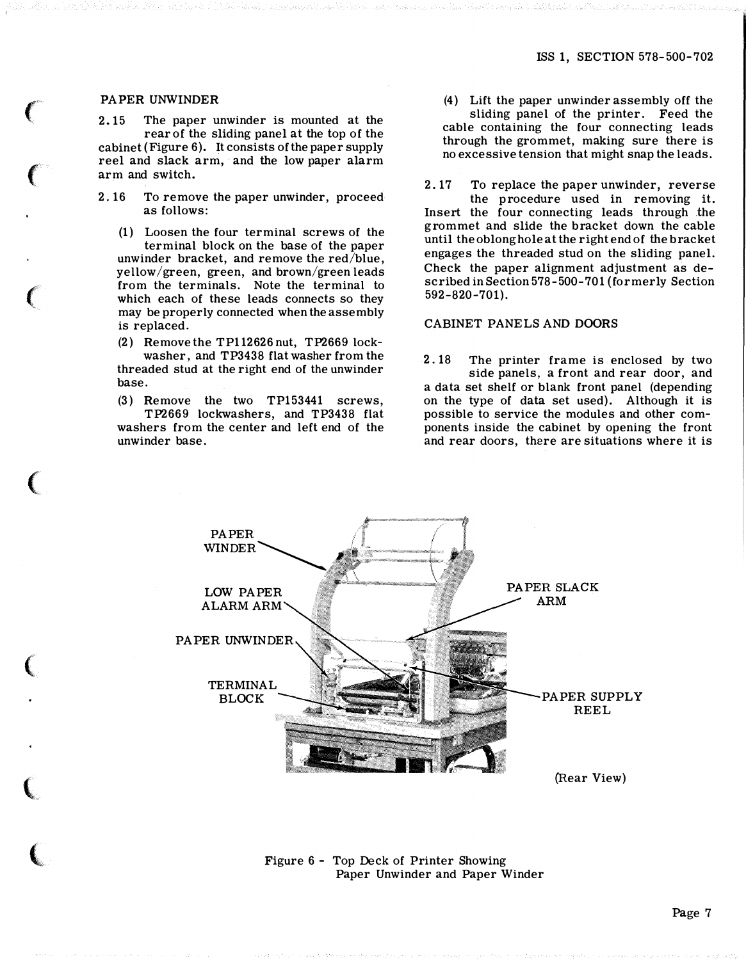### PAPER UNWINDER

 $\ell$ 

 $\mathbf{C}$ 

**人名** 

 $\ell$ 

**人** 

**Contraction** 

 $\epsilon$ 

2.15 The paper unwinder is mounted at the rear of the sliding panel at the top of the cabinet (Figure 6). It consists of the paper supply reel and slack arm, and the low paper alarm arm and switch.

2.16 To remove the paper unwinder, proceed as follows:

(1) Loosen the four terminal screws of the terminal block on the base of the paper unwinder bracket, and remove the red/blue, yellow/green, green, and brown/green leads from the terminals. Note the terminal to which each of these leads connects so they may be properly connected when the assembly is replaced.

(2) Remove the TP112626 nut, TP2669 lockwasher, and TP3438 flat washer from the threaded stud at the right end of the unwinder base.

(3) Remove the two TP153441 screws, TP2669 lockwashers, and TP3438 flat washers from the center and left end of the unwinder base.

(4) Lift the paper unwinder assembly off the sliding panel of the printer. Feed the cable containing the four connecting leads through the grommet, making sure there is no excessive tension that might snap the leads.

2.17 To replace the paper unwinder, reverse the p rocedure used in removing it. Insert the four connecting leads through the grommet and slide the bracket down the cable until the oblong hole at the right end of the bracket engages the threaded stud on the sliding panel. Check the paper alignment adjustment as described in Section 578-500-701 (formerly Section 592-820-701).

CABINET PANELS AND DOORS

2.18 The printer frame is enclosed by two side panels, a front and rear door, and a data set shelf or blank front panel (depending on the type of data set used). Although it is possible to service the modules and other components inside the cabinet by opening the front and rear doors, there are situations where it is



Figure 6 - Top Deck of Printer Showing Paper Unwinder and Paper Winder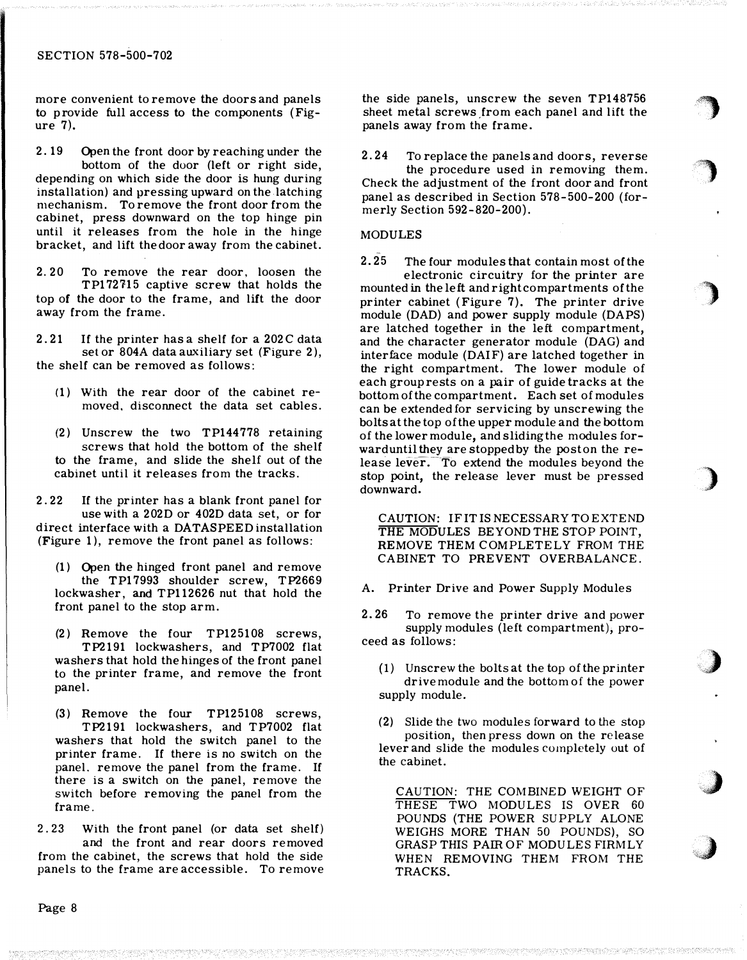more convenient to remove the doors and panels to p rovide full access to the components (Figure 7).

2. 19 Open the front door by reaching under the bottom of the door (left or right side, depending on which side the door is hung during installation) and pressing upward on the latching mechanism. To remove the front door from the cabinet, press downward on the top hinge pin until it releases from the hole in the hinge bracket, and lift the door away from the cabinet.

2. 20 To remove the rear door, loosen the TP172'H5 captive screw that holds the top of the door to the frame, and lift the door away from the frame.

2.21 If the printer has a shelf for a 202C data set or 804A data auxiliary set (Figure 2), the shelf can be removed as follows:

- (1) With the rear door of the cabinet removed, disconnect the data set cables.
- (2) Unscrew the two TP144778 retaining screws that hold the bottom of the shelf to the frame, and slide the shelf out of the cabinet until it releases from the tracks.

2. 22 If the printer has a blank front panel for use with a 202D or 402D data set, or for direct interface with a DATASPEED installation (Figure 1), remove the front panel as follows:

- (1) Open the hinged front panel and remove the TP17993 shoulder screw, TP2669 lockwasher, and TP112626 nut that hold the front panel to the stop arm.
- (2) Remove the four TP125108 screws, TP2191 lockwashers, and TP7002 flat washers that hold the hinges of the front panel to the printer frame, and remove the front panel.

(3) Remove the four TP125108 screws, TP2191 lockwashers, and TP7002 flat washers that hold the switch panel to the printer frame. If there is no switch on the panel. remove the panel from the frame. If there is a switch on the panel, remove the switch before removing the panel from the frame.

2. 23 With the front panel (or data set shelf) and the front and rear doors removed from the cabinet, the screws that hold the side panels to the frame are accessible. To remove the side panels, unscrew the seven TP148756 sheet metal screws from each panel and lift the panels away from the frame.

·'�

r)

#)

)

,)

,)

 $\bigcup$ 

2. 24 To replace the panels and doors, reverse

the procedure used in removing them. Check the adjustment of the front door and front panel as described in Section 578-500-200 (formerly Section 592-820-200).

#### MODULES

2. 25 The four modules that contain most of the

electronic circuitry for the printer are mounted in the left and right compartments of the printer cabinet (Figure 7). The printer drive module (DAD) and power supply module (DAPS) are latched together in the left compartment, and the character generator module (DAG) and interface module (DAIF) are latched together in the right compartment. The lower module of each group rests on a pair of guide tracks at the bottom of the compartment. Each set of modules can be extended for servicing by unscrewing the bolts at the top of the upper module and the bottom of the lower module, and sliding the modules forward until they are stopped by the post on the release lever. To extend the modules beyond the stop point, the release lever must be pressed downward.

CAUTION: IF IT IS NECESSARY TO EXTEND THE MODULES BEYOND THE STOP POINT. REMOVE THEM COMPLETELY FROM THE CABINET TO PREVENT OVERBALANCE.

A. Printer Drive and Power Supply Modules

2. 26 To remove the printer drive and power supply modules (left compartment), proceed as follows:

(1) Unscrew the bolts at the top of the printer drive module and the bottom of the power supply module.

( 2) Slide the two modules forward to the stop position, then press down on the release lever and slide the modules completely out of the cabinet.

CAUTION: THE COMBINED WEIGHT OF THESE TWO MODULES IS OVER 60 POUNDS (THE POWER SUPPLY ALONE WEIGHS MORE THAN 50 POUNDS), SO GRASP THIS PAIR OF MODULES FIRMLY WHEN REMOVING THEM FROM THE TRACKS.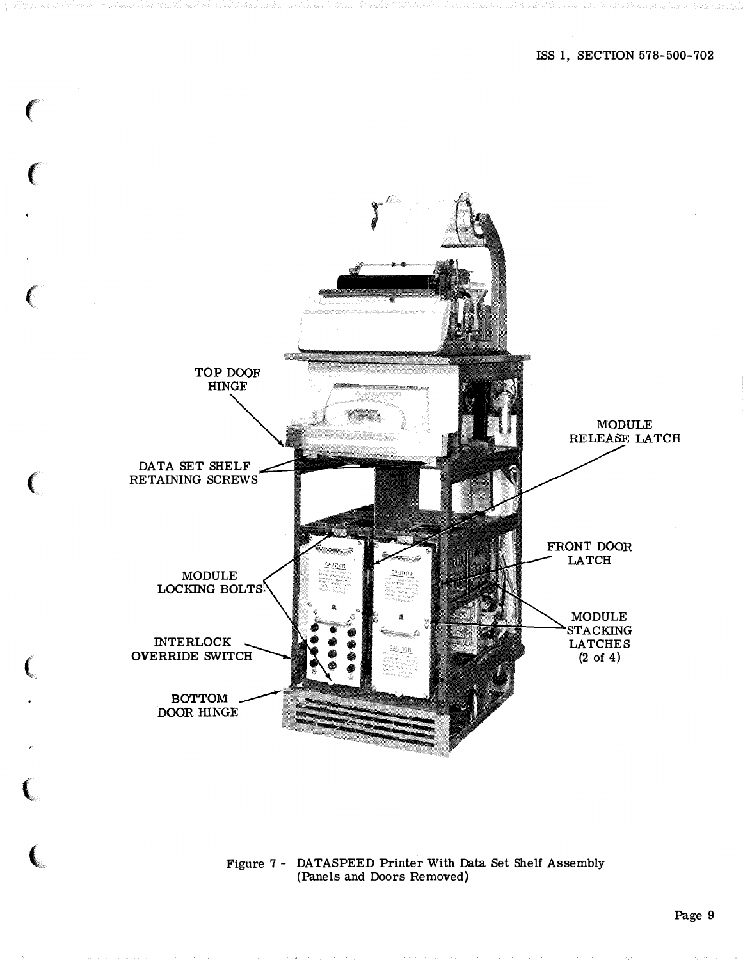

Figure 7 - DATASPEED Printer With Data Set Shelf Assembly<br>(Panels and Doors Removed)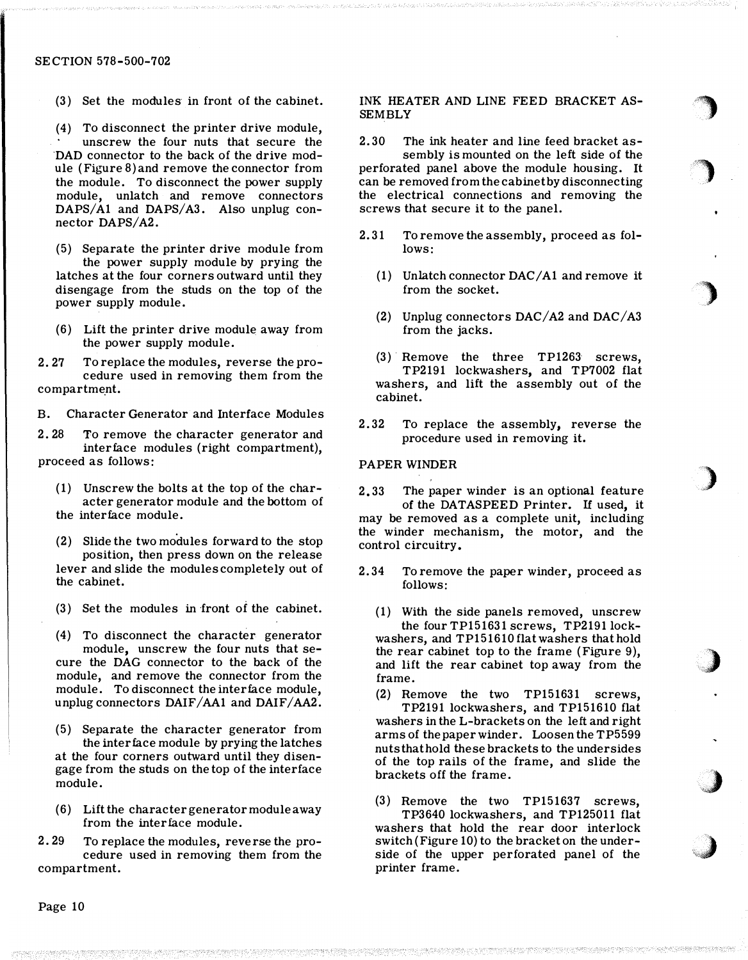(3) Set the modules in front of the cabinet.

(4) To disconnect the printer drive module, unscrew the four nuts that secure the DAD connector to the back of the drive module (Figure 8) and remove the connector from the module. To disconnect the power supply module, unlatch and remove connectors  $DAPS/A1$  and  $DAPS/A3$ . Also unplug connector DAPS/A2.

(5) Separate the printer drive module from the power supply module by prying the latches at the four corners outward until they disengage from the studs on the top of the power supply module.

(6) Lift the printer drive module away from the power supply module.

2. 27 To replace the modules, reverse the procedure used in removing them from the compartment.

B. Character Generator and Interface Modules

2. 28 To remove the character generator and interface modules (right compartment), proceed as follows:

- ( 1) Unscrew the bolts at the top of the character generator module and the bottom of the interface module.
- (2) Slide the two modules forward to the stop position, then press down on the release lever and slide the modules completely out of the cabinet.
- $(3)$  Set the modules in front of the cabinet.
- (4) To disconnect the character generator module, unscrew the four nuts that secure the DAG connector to the back of the module, and remove the connector from the module. To disconnect the interface module, unplug connectors DAIF/AAl and DAIF/AA2.
- (5) Separate the character generator from the interface module by prying the latches at the four corners outward until they disengage from the studs on the top of the interface module.
- (6) Lift the character generator module away from the interface module.

2. 29 To replace the modules, reverse the procedure used in removing them from the compartment.

INK HEATER AND LINE FEED BRACKET AS-**SEMBLY** 

.,

.)

.)

)

)

J

 $\bigcup$ 

2.30 The ink heater and line feed bracket as-

sembly is mounted on the left side of the perforated panel above the module housing. It can be removed from the cabinet by disconnecting the electrical connections and removing the screws that secure it to the panel.

- 2. 31 To remove the assembly, proceed as follows:
	- $(1)$  Unlatch connector DAC/A1 and remove it from the socket.
	- (2) Unplug connectors  $DAC/A2$  and  $DAC/A3$ from the jacks.
	- (3) Remove the three TP1263 screws, TP2191 lockwashers, and TP7002 flat washers, and lift the assembly out of the cabinet.
- 2. 32 To replace the assembly, reverse the procedure used in removing it.

### PAPER WINDER

2. 33 The paper winder is an optional feature of the DATASPEED Printer. If used, it may be removed as a complete unit, including the winder mechanism, the motor, and the control circuitry.

- 2.34 To remove the paper winder, proceed as follows:
	- (1) With the side panels removed, unscrew the four TP151631 screws, TP2191 lockwashers, and TP151610 flat washers that hold the rear cabinet top to the frame (Figure 9), and lift the rear cabinet top away from the frame.

(2) Remove the two TP151631 screws, TP2191 lockwashers, and TP151610 flat washers in the L-brackets on the left and right arms of the paper winder. Loosen the TP5599 nuts that hold these brackets to the undersides of the top rails of the frame, and slide the brackets off the frame.

(3) Remove the two TP151637 screws, TP3640 lockwashers, and TP125011 flat washers that hold the rear door interlock switch (Figure 10) to the bracket on the underside of the upper perforated panel of the printer frame.

Page 10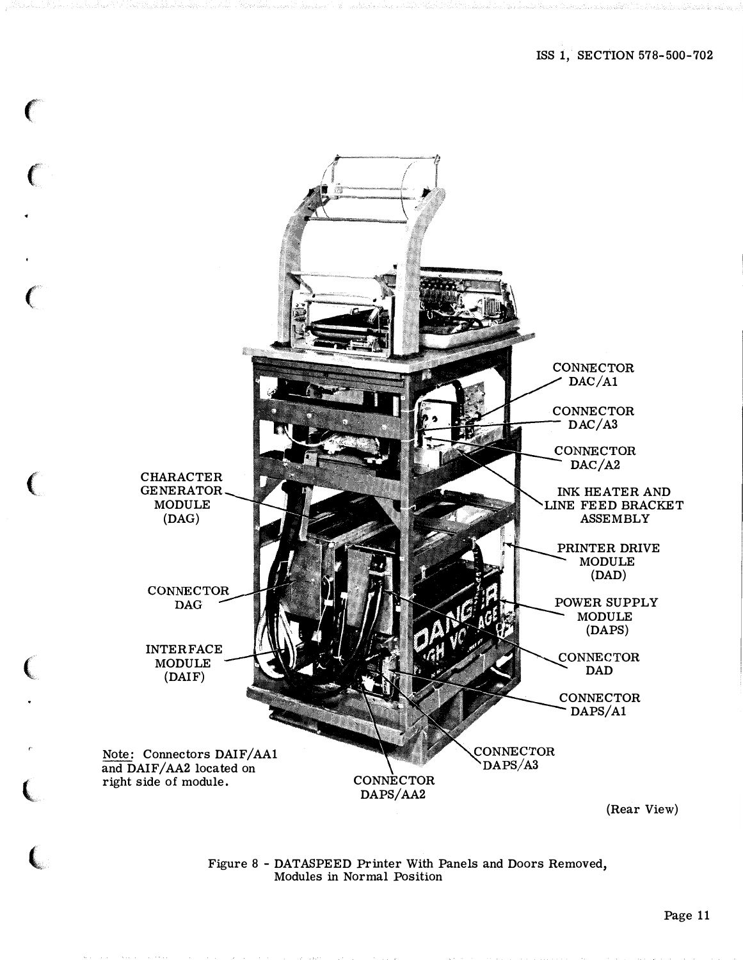

C

# Figure 8 - DATASPEED Printer With Panels and Doors Removed, Modules in Normal Position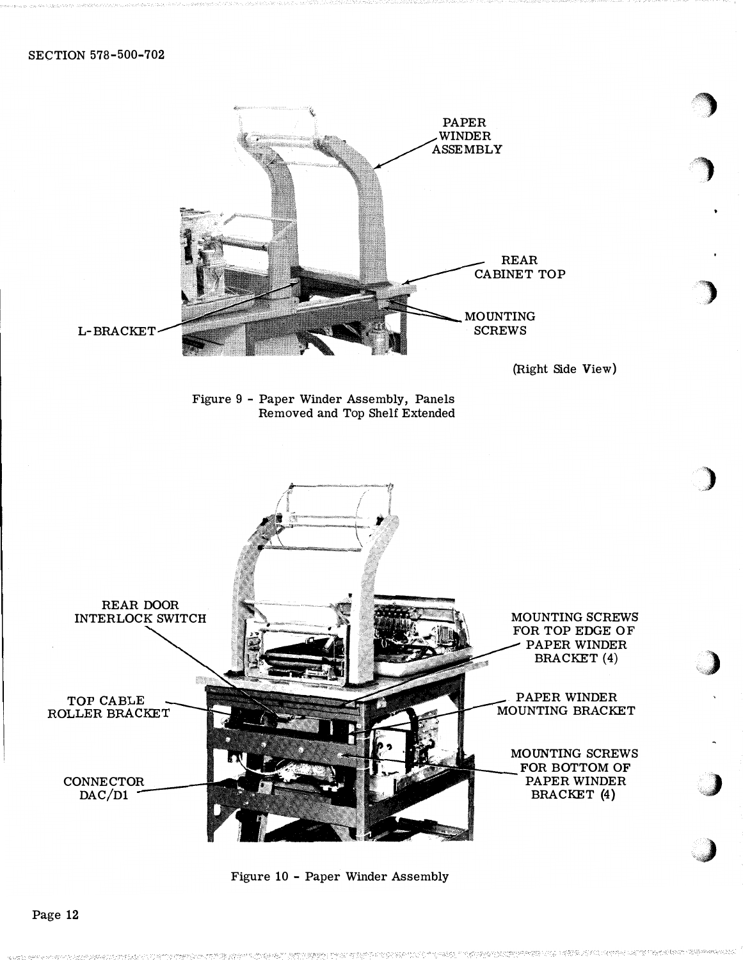

)

Figure 10 - Paper Winder Assembly

Page 12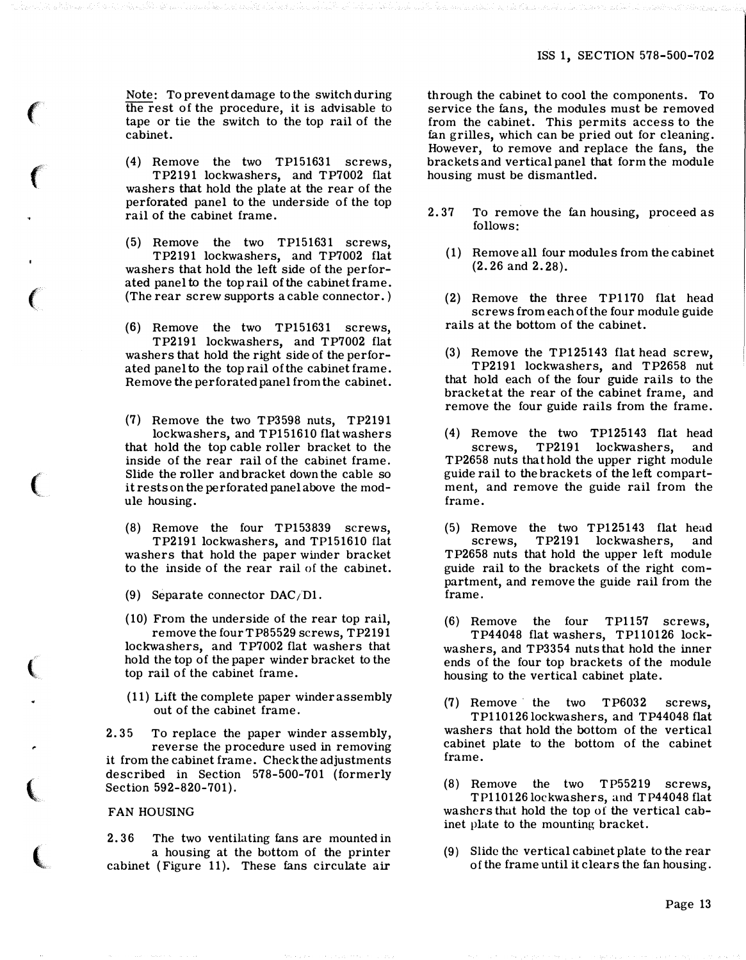Note: To prevent damage to the switch during the rest of the procedure, it is advisable to tape or tie the switch to the top rail of the cabinet.

 $\epsilon$ 

f

 $\epsilon$ 

 $\big($ 

 $\big($ 

..

{

 $\overline{\mathbf{C}}$ 

(4) Remove the two TP151631 screws, TP2191 lockwashers, and TP7002 flat washers that hold the plate at the rear of the perforated panel to the underside of the top rail of the cabinet frame.

(5) Remove the two TP151631 screws, TP2191 lockwashers, and TP7002 flat washers that hold the left side of the perforated panel to the top rail of the cabinet frame. (The rear screw supports a cable connector.)

(6) Remove the two TP151631 screws, TP2191 lockwashers, and TP7002 flat washers that hold the right side of the perforated panel to the top rail of the cabinet frame. Remove the perforated panel from the cabinet.

(7) Remove the two TP3598 nuts, TP2191 lockwashers, and TP151610 flat washers that hold the top cable roller bracket to the inside of the rear rail of the cabinet frame. Slide the roller and bracket down the cable so it rests on the perforated panel above the module housing.

(8) Remove the four TP153839 screws, TP2191 lockwashers, and TP151610 flat washers that hold the paper winder bracket to the inside of the rear rail of the cabinet.

(9) Separate connector DAC/Dl.

(10) From the underside of the rear top rail, remove the four TP85529 screws, TP2191 lockwashers, and TP7002 flat washers that hold the top of the paper winder bracket to the top rail of the cabinet frame.

(11) Lift the complete paper winder assembly out of the cabinet frame.

2. 35 To replace the paper winder assembly, reverse the procedure used in removing it from the cabinet frame. Check the adjustments described in Section 578-500-701 (formerly Section 592-820-701).

### FAN HOUSING

2. 36 The two ventilating fans are mounted in a housing at the bottom of the printer cabinet (Figure 11). These fans circulate air

through the cabinet to cool the components. To service the fans, the modules must be removed from the cabinet. This permits access to the fan grilles, which can be pried out for cleaning. However, to remove and replace the fans, the brackets and vertical panel that form the module housing must be dismantled.

- 2. 37 To remove the fan housing, proceed as follows:
	- (1) Remove all four modules from the cabinet (2. 26 and 2. 28).
	- (2) Remove the three TP1170 flat head screws from each of the four module guide rails at the bottom of the cabinet.
	- (3) Remove the TP125143 flat head screw, TP2191 lockwashers, and TP2658 nut that hold each of the four guide rails to the bracket at the rear of the cabinet frame, and remove the four guide rails from the frame.

(4) Remove the two TP125143 flat head screws, TP2191 lockwashers, and TP2658 nuts that hold the upper right module guide rail to the brackets of the left compartment, and remove the guide rail from the frame.

(5) Remove the two TP125143 flat head screws, TP2191 lockwashers, and TP2658 nuts that hold the upper left module guide rail to the brackets of the right compartment, and remove the guide rail from the frame.

(6) Remove the four TP1157 screws, TP44048 flat washers, TP110126 lockwashers, and TP3354 nuts that hold the inner ends of the four top brackets of the module housing to the vertical cabinet plate.

(7) Remove · the two TP6032 screws, TP110126 lockwashers, and TP44048 flat washers that hold the bottom of the vertical cabinet plate to the bottom of the cabinet frame.

(8) Remove the two TP55219 screws, TP110126 lockwashers, and TP44048 flat washers that hold the top of the vertical cabinet plate to the mounting bracket.

(9) Slide the vertical cabinet plate to the rear of the frame until it clears the fan housing.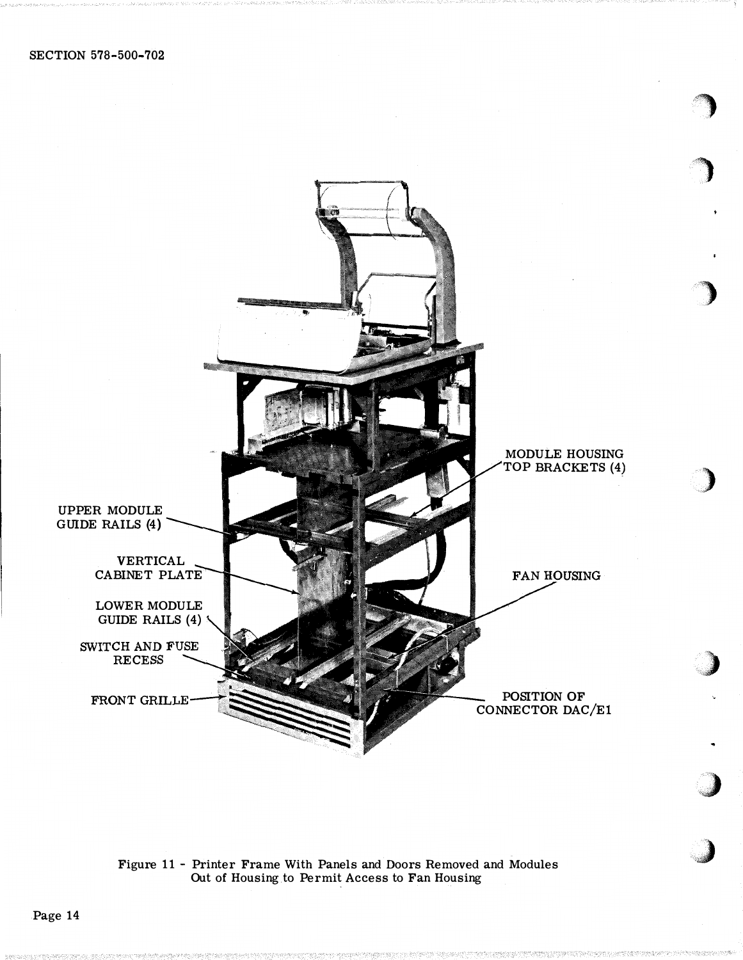

<. ""

:)

 $-100000$ 

Figure 11 - Printer Frame With Panels and Doors Removed and Modules Out of Housing to Permit Access to Fan Housing

Page 14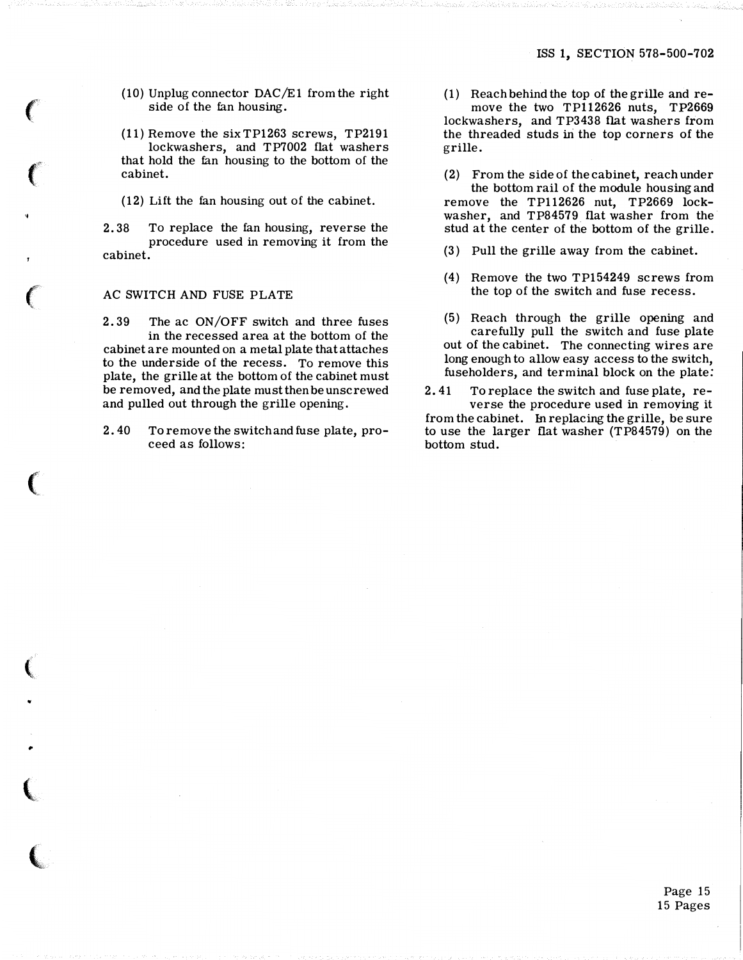### ISS 1, SECTION 578-500-702

(10) Unplug connector DAC/E1 from the right side of the fan housing.

(11) Remove the sixTP1263 screws, TP2191 lockwashers, and TP7002 flat washers that hold the fan housing to the bottom of the cabinet.

(12) Lift the fan housing out of the cabinet.

2. 38 To replace the fan housing, reverse the procedure used in removing it from the cabinet.

### AC SWITCH AND FUSE PLATE

 $\sim$   $\sim$   $\sim$   $\sim$ -

..

 $\sim$ 

2. 39 The ac ON/OFF switch and three fuses in the recessed area at the bottom of the cabinet are mounted on a metal plate that attaches to the underside of the recess. To remove this plate, the grille at the bottom of the cabinet must be removed, and the plate must then be unscrewed and pulled out through the grille opening.

2. 40 To remove the switch and fuse plate, proceed as follows:

(1) Reach behind the top of the grille and remove the two TP112626 nuts, TP2669 lockwashers, and TP3438 flat washers from the threaded studs in the top corners of the grille.

(2) From the side of the cabinet, reach under the bottom rail of the module housing and remove the TP112626 nut, TP2669 lockwasher, and TP84579 flat washer from the stud at the center of the bottom of the grille.

- (3) Pull the grille away from the cabinet.
- (4) Remove the two TP154249 screws from the top of the switch and fuse recess.
- (5) Reach through the grille opening and carefully pull the switch and fuse plate out of the cabinet. The connecting wires are long enough to allow easy access to the switch, fuseholders, and terminal block on the plate:

2. 41 To replace the switch and fuse plate, reverse the procedure used in remoying it from the cabinet. In replacing the grille, be sure to use the larger flat washer (TP84579) on the bottom stud.